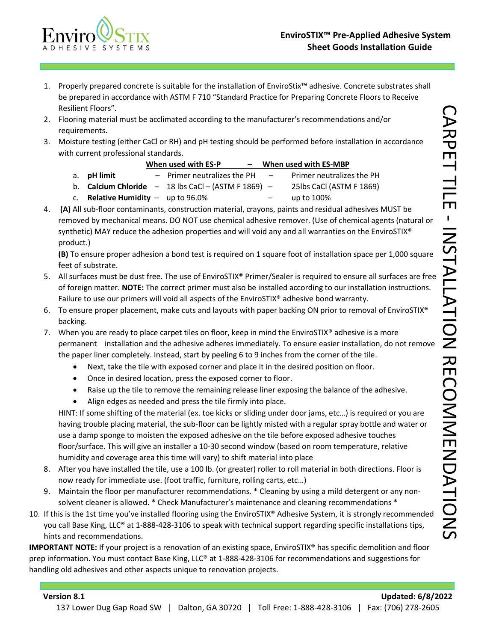

- 1. Properly prepared concrete is suitable for the installation of EnviroStix™ adhesive. Concrete substrates shall be prepared in accordance with ASTM F 710 "Standard Practice for Preparing Concrete Floors to Receive Resilient Floors".
- 2. Flooring material must be acclimated according to the manufacturer's recommendations and/or requirements.
- 3. Moisture testing (either CaCl or RH) and pH testing should be performed before installation in accordance with current professional standards.

|                                             | When used with ES-P                                            | - When used with ES-MBP |                                  |  |
|---------------------------------------------|----------------------------------------------------------------|-------------------------|----------------------------------|--|
| a. <b>pH</b> limit                          | - Primer neutralizes the PH                                    | $\sim$                  | <b>Primer neutralizes the PH</b> |  |
|                                             | b. <b>Calcium Chloride</b> $- 18$ lbs CaCl $- (ASTM F 1869) -$ |                         | 25lbs CaCl (ASTM F 1869)         |  |
| c. <b>Relative Humidity</b> $-$ up to 96.0% |                                                                |                         | up to 100%                       |  |

4. **(A)** All sub-floor contaminants, construction material, crayons, paints and residual adhesives MUST be removed by mechanical means. DO NOT use chemical adhesive remover. (Use of chemical agents (natural or synthetic) MAY reduce the adhesion properties and will void any and all warranties on the EnviroSTIX® product.)

**(B)** To ensure proper adhesion a bond test is required on 1 square foot of installation space per 1,000 square feet of substrate.

- 5. All surfaces must be dust free. The use of EnviroSTIX® Primer/Sealer is required to ensure all surfaces are free of foreign matter. **NOTE:** The correct primer must also be installed according to our installation instructions. Failure to use our primers will void all aspects of the EnviroSTIX® adhesive bond warranty.
- 6. To ensure proper placement, make cuts and layouts with paper backing ON prior to removal of EnviroSTIX® backing.
- 7. When you are ready to place carpet tiles on floor, keep in mind the EnviroSTIX® adhesive is a more permanent installation and the adhesive adheres immediately. To ensure easier installation, do not remove the paper liner completely. Instead, start by peeling 6 to 9 inches from the corner of the tile.
	- Next, take the tile with exposed corner and place it in the desired position on floor.
	- Once in desired location, press the exposed corner to floor.
	- Raise up the tile to remove the remaining release liner exposing the balance of the adhesive.
	- Align edges as needed and press the tile firmly into place.

HINT: If some shifting of the material (ex. toe kicks or sliding under door jams, etc…) is required or you are having trouble placing material, the sub-floor can be lightly misted with a regular spray bottle and water or use a damp sponge to moisten the exposed adhesive on the tile before exposed adhesive touches floor/surface. This will give an installer a 10-30 second window (based on room temperature, relative humidity and coverage area this time will vary) to shift material into place

- 8. After you have installed the tile, use a 100 lb. (or greater) roller to roll material in both directions. Floor is now ready for immediate use. (foot traffic, furniture, rolling carts, etc…)
- 9. Maintain the floor per manufacturer recommendations. \* Cleaning by using a mild detergent or any nonsolvent cleaner is allowed. \* Check Manufacturer's maintenance and cleaning recommendations \*
- 10. If this is the 1st time you've installed flooring using the EnviroSTIX® Adhesive System, it is strongly recommended you call Base King, LLC® at 1-888-428-3106 to speak with technical support regarding specific installations tips, hints and recommendations.

**IMPORTANT NOTE:** If your project is a renovation of an existing space, EnviroSTIX® has specific demolition and floor prep information. You must contact Base King, LLC® at 1-888-428-3106 for recommendations and suggestions for handling old adhesives and other aspects unique to renovation projects.